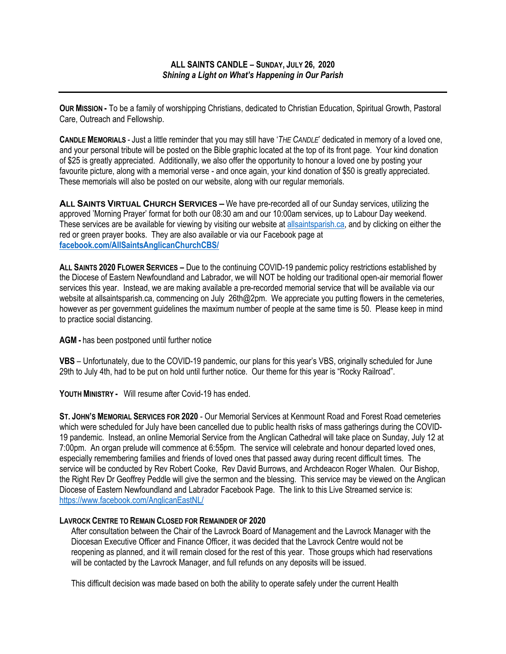**OUR MISSION -** To be a family of worshipping Christians, dedicated to Christian Education, Spiritual Growth, Pastoral Care, Outreach and Fellowship.

**CANDLE MEMORIALS** - Just a little reminder that you may still have '*THE CANDLE*' dedicated in memory of a loved one, and your personal tribute will be posted on the Bible graphic located at the top of its front page. Your kind donation of \$25 is greatly appreciated. Additionally, we also offer the opportunity to honour a loved one by posting your favourite picture, along with a memorial verse - and once again, your kind donation of \$50 is greatly appreciated. These memorials will also be posted on our website, along with our regular memorials.

**ALL SAINTS VIRTUAL CHURCH SERVICES –** We have pre-recorded all of our Sunday services, utilizing the approved 'Morning Prayer' format for both our 08:30 am and our 10:00am services, up to Labour Day weekend. These services are be available for viewing by visiting our website at allsaintsparish.ca, and by clicking on either the red or green prayer books. They are also available or via our Facebook page at **facebook.com/AllSaintsAnglicanChurchCBS/**

**ALL SAINTS 2020 FLOWER SERVICES –** Due to the continuing COVID-19 pandemic policy restrictions established by the Diocese of Eastern Newfoundland and Labrador, we will NOT be holding our traditional open-air memorial flower services this year. Instead, we are making available a pre-recorded memorial service that will be available via our website at allsaintsparish.ca, commencing on July 26th@2pm. We appreciate you putting flowers in the cemeteries, however as per government guidelines the maximum number of people at the same time is 50. Please keep in mind to practice social distancing.

**AGM -** has been postponed until further notice

**VBS** – Unfortunately, due to the COVID-19 pandemic, our plans for this year's VBS, originally scheduled for June 29th to July 4th, had to be put on hold until further notice. Our theme for this year is "Rocky Railroad".

**YOUTH MINISTRY -** Will resume after Covid-19 has ended.

**ST. JOHN'S MEMORIAL SERVICES FOR 2020** - Our Memorial Services at Kenmount Road and Forest Road cemeteries which were scheduled for July have been cancelled due to public health risks of mass gatherings during the COVID-19 pandemic. Instead, an online Memorial Service from the Anglican Cathedral will take place on Sunday, July 12 at 7:00pm. An organ prelude will commence at 6:55pm. The service will celebrate and honour departed loved ones, especially remembering families and friends of loved ones that passed away during recent difficult times. The service will be conducted by Rev Robert Cooke, Rev David Burrows, and Archdeacon Roger Whalen. Our Bishop, the Right Rev Dr Geoffrey Peddle will give the sermon and the blessing. This service may be viewed on the Anglican Diocese of Eastern Newfoundland and Labrador Facebook Page. The link to this Live Streamed service is: https://www.facebook.com/AnglicanEastNL/

## **LAVROCK CENTRE TO REMAIN CLOSED FOR REMAINDER OF 2020**

After consultation between the Chair of the Lavrock Board of Management and the Lavrock Manager with the Diocesan Executive Officer and Finance Officer, it was decided that the Lavrock Centre would not be reopening as planned, and it will remain closed for the rest of this year. Those groups which had reservations will be contacted by the Lavrock Manager, and full refunds on any deposits will be issued.

This difficult decision was made based on both the ability to operate safely under the current Health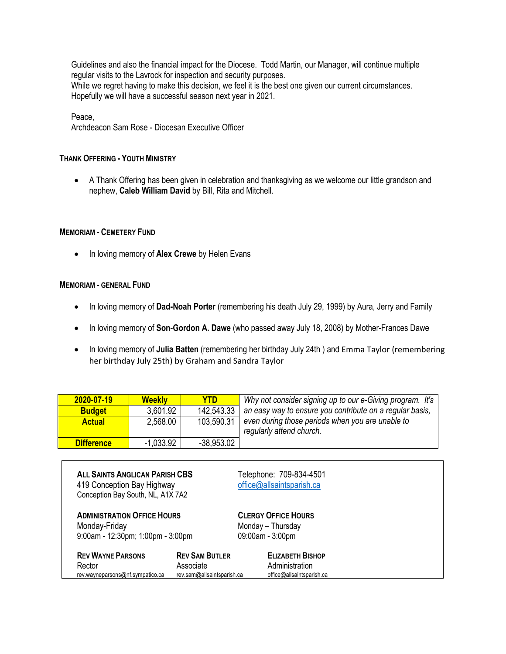Guidelines and also the financial impact for the Diocese. Todd Martin, our Manager, will continue multiple regular visits to the Lavrock for inspection and security purposes. While we regret having to make this decision, we feel it is the best one given our current circumstances. Hopefully we will have a successful season next year in 2021.

Peace,

Archdeacon Sam Rose - Diocesan Executive Officer

## **THANK OFFERING - YOUTH MINISTRY**

• A Thank Offering has been given in celebration and thanksgiving as we welcome our little grandson and nephew, **Caleb William David** by Bill, Rita and Mitchell.

## **MEMORIAM - CEMETERY FUND**

• In loving memory of **Alex Crewe** by Helen Evans

## **MEMORIAM - GENERAL FUND**

- In loving memory of **Dad-Noah Porter** (remembering his death July 29, 1999) by Aura, Jerry and Family
- In loving memory of **Son-Gordon A. Dawe** (who passed away July 18, 2008) by Mother-Frances Dawe
- In loving memory of **Julia Batten** (remembering her birthday July 24th ) and Emma Taylor (remembering her birthday July 25th) by Graham and Sandra Taylor

| 2020-07-19        | <b>Weekly</b> | YTD.         | Why not consider signing up to our e-Giving program. It's                    |
|-------------------|---------------|--------------|------------------------------------------------------------------------------|
| <b>Budget</b>     | 3.601.92      | 142,543.33   | an easy way to ensure you contribute on a regular basis,                     |
| <b>Actual</b>     | 2,568.00      | 103.590.31   | even during those periods when you are unable to<br>regularly attend church. |
| <b>Difference</b> | -1.033.92     | $-38,953.02$ |                                                                              |

| <b>ALL SAINTS ANGLICAN PARISH CBS</b><br>419 Conception Bay Highway<br>Conception Bay South, NL, A1X 7A2 |                            | Telephone: 709-834-4501<br>office@allsaintsparish.ca |  |
|----------------------------------------------------------------------------------------------------------|----------------------------|------------------------------------------------------|--|
| <b>ADMINISTRATION OFFICE HOURS</b><br>Monday-Friday                                                      |                            | <b>CLERGY OFFICE HOURS</b><br>Monday – Thursday      |  |
| 9:00am - 12:30pm; 1:00pm - 3:00pm                                                                        |                            | 09:00am - 3:00pm                                     |  |
| <b>REV WAYNE PARSONS</b>                                                                                 | <b>REV SAM BUTLER</b>      | <b>ELIZABETH BISHOP</b>                              |  |
| Rector                                                                                                   | Associate                  | Administration                                       |  |
| rev.wayneparsons@nf.sympatico.ca                                                                         | rev.sam@allsaintsparish.ca | office@allsaintsparish.ca                            |  |